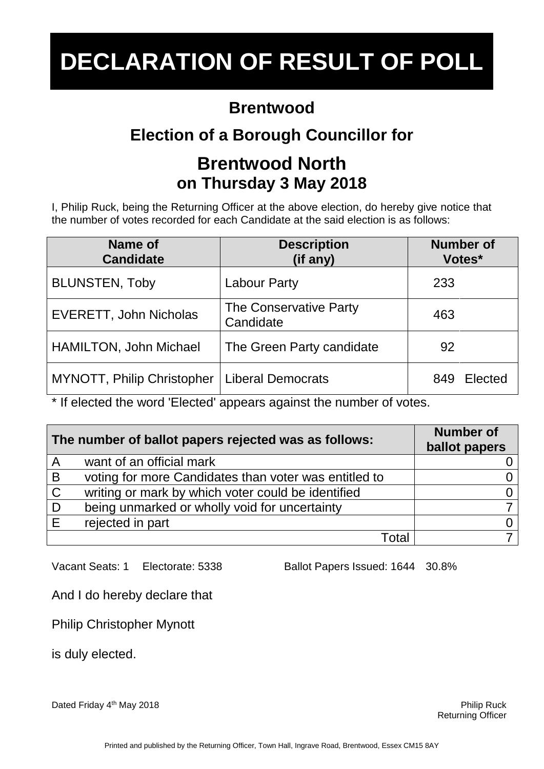#### **Brentwood**

## **Election of a Borough Councillor for**

### **Brentwood North on Thursday 3 May 2018**

I, Philip Ruck, being the Returning Officer at the above election, do hereby give notice that the number of votes recorded for each Candidate at the said election is as follows:

| <b>Name of</b><br><b>Candidate</b> | <b>Description</b><br>(if any)      | <b>Number of</b><br>Votes* |
|------------------------------------|-------------------------------------|----------------------------|
| <b>BLUNSTEN, Toby</b>              | <b>Labour Party</b>                 | 233                        |
| EVERETT, John Nicholas             | The Conservative Party<br>Candidate | 463                        |
| HAMILTON, John Michael             | The Green Party candidate           | 92                         |
| MYNOTT, Philip Christopher         | <b>Liberal Democrats</b>            | Elected<br>849             |

\* If elected the word 'Elected' appears against the number of votes.

| The number of ballot papers rejected was as follows: |                                                       | <b>Number of</b><br>ballot papers |
|------------------------------------------------------|-------------------------------------------------------|-----------------------------------|
| $\overline{A}$                                       | want of an official mark                              |                                   |
| B                                                    | voting for more Candidates than voter was entitled to |                                   |
| $\mathbf C$                                          | writing or mark by which voter could be identified    |                                   |
| D                                                    | being unmarked or wholly void for uncertainty         |                                   |
| E                                                    | rejected in part                                      |                                   |
|                                                      | Total                                                 |                                   |

Vacant Seats: 1 Electorate: 5338 Ballot Papers Issued: 1644 30.8%

And I do hereby declare that

Philip Christopher Mynott

is duly elected.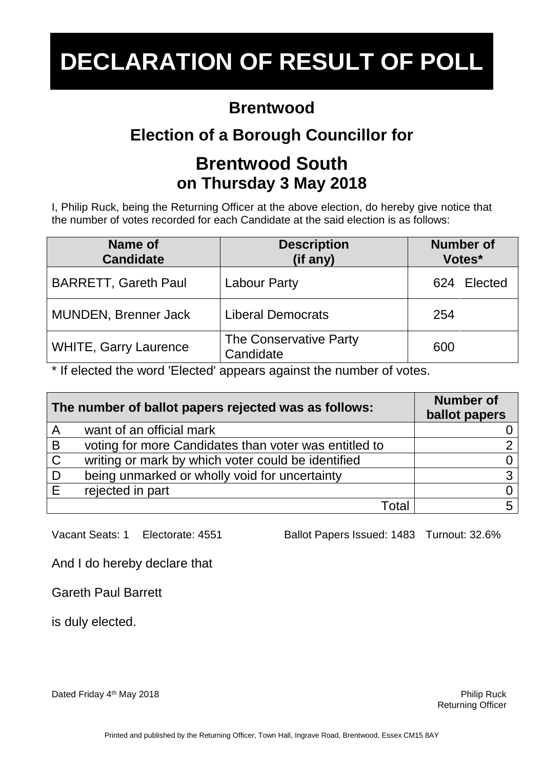#### **Brentwood**

## **Election of a Borough Councillor for**

### **Brentwood South on Thursday 3 May 2018**

I, Philip Ruck, being the Returning Officer at the above election, do hereby give notice that the number of votes recorded for each Candidate at the said election is as follows:

| Name of<br><b>Candidate</b>  | <b>Description</b><br>(if any)      | <b>Number of</b><br>Votes* |
|------------------------------|-------------------------------------|----------------------------|
| <b>BARRETT, Gareth Paul</b>  | <b>Labour Party</b>                 | Elected<br>624             |
| MUNDEN, Brenner Jack         | <b>Liberal Democrats</b>            | 254                        |
| <b>WHITE, Garry Laurence</b> | The Conservative Party<br>Candidate | 600                        |

\* If elected the word 'Elected' appears against the number of votes.

| The number of ballot papers rejected was as follows: |                                                       | <b>Number of</b><br>ballot papers |
|------------------------------------------------------|-------------------------------------------------------|-----------------------------------|
| $\overline{A}$                                       | want of an official mark                              |                                   |
| B                                                    | voting for more Candidates than voter was entitled to |                                   |
| $\mathsf{C}$                                         | writing or mark by which voter could be identified    |                                   |
| D                                                    | being unmarked or wholly void for uncertainty         | ર                                 |
| E                                                    | rejected in part                                      |                                   |
|                                                      | ั∩ta                                                  |                                   |

Vacant Seats: 1 Electorate: 4551 Ballot Papers Issued: 1483 Turnout: 32.6%

And I do hereby declare that

Gareth Paul Barrett

is duly elected.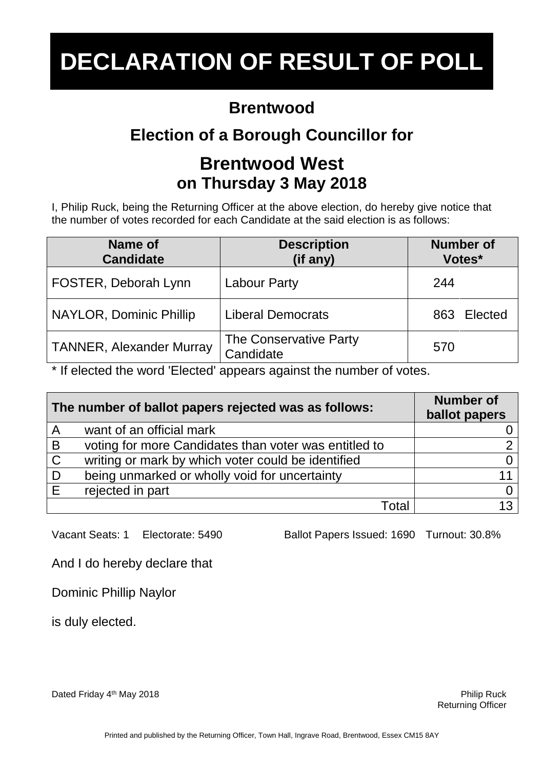#### **Brentwood**

## **Election of a Borough Councillor for**

#### **Brentwood West on Thursday 3 May 2018**

I, Philip Ruck, being the Returning Officer at the above election, do hereby give notice that the number of votes recorded for each Candidate at the said election is as follows:

| Name of<br><b>Candidate</b>     | <b>Description</b><br>(if any)      | <b>Number of</b><br>Votes* |
|---------------------------------|-------------------------------------|----------------------------|
| FOSTER, Deborah Lynn            | <b>Labour Party</b>                 | 244                        |
| NAYLOR, Dominic Phillip         | <b>Liberal Democrats</b>            | Elected<br>863             |
| <b>TANNER, Alexander Murray</b> | The Conservative Party<br>Candidate | 570                        |

\* If elected the word 'Elected' appears against the number of votes.

| The number of ballot papers rejected was as follows: |                                                       | <b>Number of</b><br>ballot papers |
|------------------------------------------------------|-------------------------------------------------------|-----------------------------------|
| $\overline{A}$                                       | want of an official mark                              |                                   |
| $\overline{B}$                                       | voting for more Candidates than voter was entitled to |                                   |
| $\mathbf C$                                          | writing or mark by which voter could be identified    |                                   |
| D                                                    | being unmarked or wholly void for uncertainty         |                                   |
| E                                                    | rejected in part                                      |                                   |
|                                                      | ⊺ิ∩tal                                                | 1 $3l$                            |

Vacant Seats: 1 Electorate: 5490 Ballot Papers Issued: 1690 Turnout: 30.8%

And I do hereby declare that

Dominic Phillip Naylor

is duly elected.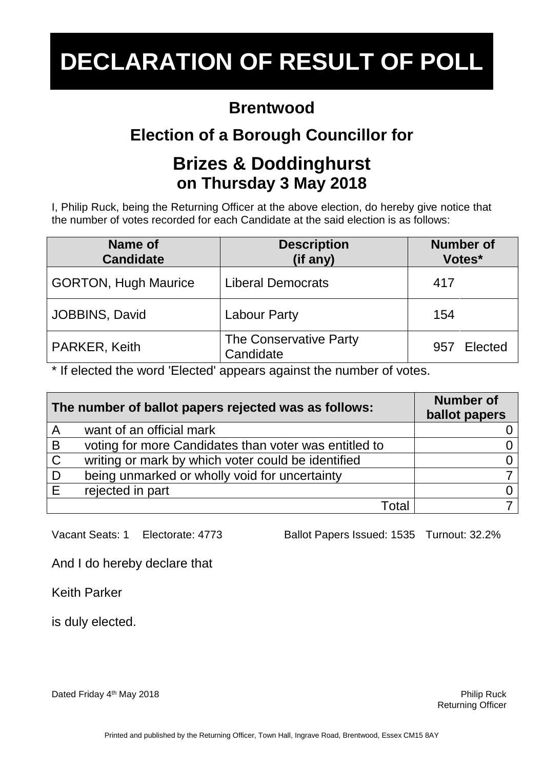#### **Brentwood**

## **Election of a Borough Councillor for**

### **Brizes & Doddinghurst on Thursday 3 May 2018**

I, Philip Ruck, being the Returning Officer at the above election, do hereby give notice that the number of votes recorded for each Candidate at the said election is as follows:

| Name of<br><b>Candidate</b> | <b>Description</b><br>(if any)      | <b>Number of</b><br>Votes* |
|-----------------------------|-------------------------------------|----------------------------|
| <b>GORTON, Hugh Maurice</b> | <b>Liberal Democrats</b>            | 417                        |
| JOBBINS, David              | <b>Labour Party</b>                 | 154                        |
| PARKER, Keith               | The Conservative Party<br>Candidate | Elected<br>957             |

\* If elected the word 'Elected' appears against the number of votes.

| The number of ballot papers rejected was as follows: |                                                       | <b>Number of</b><br>ballot papers |
|------------------------------------------------------|-------------------------------------------------------|-----------------------------------|
| $\overline{A}$                                       | want of an official mark                              |                                   |
| B                                                    | voting for more Candidates than voter was entitled to |                                   |
| $\overline{C}$                                       | writing or mark by which voter could be identified    |                                   |
| D                                                    | being unmarked or wholly void for uncertainty         |                                   |
| E                                                    | rejected in part                                      |                                   |
|                                                      | ั∩ta                                                  |                                   |

Vacant Seats: 1 Electorate: 4773 Ballot Papers Issued: 1535 Turnout: 32.2%

And I do hereby declare that

Keith Parker

is duly elected.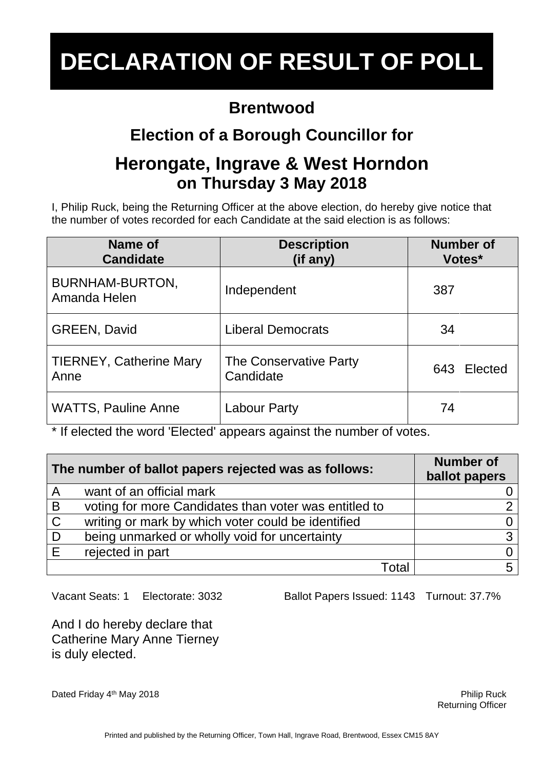#### **Brentwood**

## **Election of a Borough Councillor for**

### **Herongate, Ingrave & West Horndon on Thursday 3 May 2018**

I, Philip Ruck, being the Returning Officer at the above election, do hereby give notice that the number of votes recorded for each Candidate at the said election is as follows:

| Name of<br><b>Candidate</b>            | <b>Description</b><br>(if any)      | <b>Number of</b><br>Votes* |
|----------------------------------------|-------------------------------------|----------------------------|
| <b>BURNHAM-BURTON,</b><br>Amanda Helen | Independent                         | 387                        |
| <b>GREEN, David</b>                    | <b>Liberal Democrats</b>            | 34                         |
| <b>TIERNEY, Catherine Mary</b><br>Anne | The Conservative Party<br>Candidate | 643 Elected                |
| <b>WATTS, Pauline Anne</b>             | <b>Labour Party</b>                 | 74                         |

\* If elected the word 'Elected' appears against the number of votes.

| The number of ballot papers rejected was as follows: |                                                       | <b>Number of</b><br>ballot papers |
|------------------------------------------------------|-------------------------------------------------------|-----------------------------------|
| $\mathsf{A}$                                         | want of an official mark                              |                                   |
| B                                                    | voting for more Candidates than voter was entitled to |                                   |
| $\mathsf C$                                          | writing or mark by which voter could be identified    |                                   |
| D                                                    | being unmarked or wholly void for uncertainty         |                                   |
| F                                                    | rejected in part                                      |                                   |
|                                                      | Гоtal                                                 |                                   |

Vacant Seats: 1 Electorate: 3032 Ballot Papers Issued: 1143 Turnout: 37.7%

And I do hereby declare that Catherine Mary Anne Tierney is duly elected.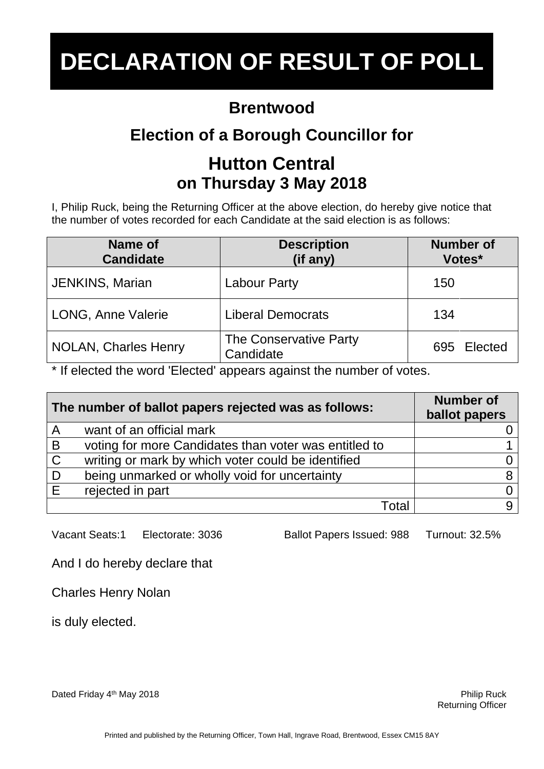#### **Brentwood**

## **Election of a Borough Councillor for**

### **Hutton Central on Thursday 3 May 2018**

I, Philip Ruck, being the Returning Officer at the above election, do hereby give notice that the number of votes recorded for each Candidate at the said election is as follows:

| Name of<br><b>Candidate</b> | <b>Description</b><br>(if any)      | <b>Number of</b><br>Votes* |
|-----------------------------|-------------------------------------|----------------------------|
| <b>JENKINS, Marian</b>      | <b>Labour Party</b>                 | 150                        |
| LONG, Anne Valerie          | <b>Liberal Democrats</b>            | 134                        |
| <b>NOLAN, Charles Henry</b> | The Conservative Party<br>Candidate | 695 Elected                |

\* If elected the word 'Elected' appears against the number of votes.

| The number of ballot papers rejected was as follows: |                                                       | <b>Number of</b><br>ballot papers |
|------------------------------------------------------|-------------------------------------------------------|-----------------------------------|
| $\overline{\mathsf{A}}$                              | want of an official mark                              |                                   |
| B                                                    | voting for more Candidates than voter was entitled to |                                   |
| $\overline{C}$                                       | writing or mark by which voter could be identified    |                                   |
| D                                                    | being unmarked or wholly void for uncertainty         | 8                                 |
| E                                                    | rejected in part                                      |                                   |
|                                                      | Гоtal                                                 |                                   |

Vacant Seats:1 Electorate: 3036 Ballot Papers Issued: 988 Turnout: 32.5%

And I do hereby declare that

Charles Henry Nolan

is duly elected.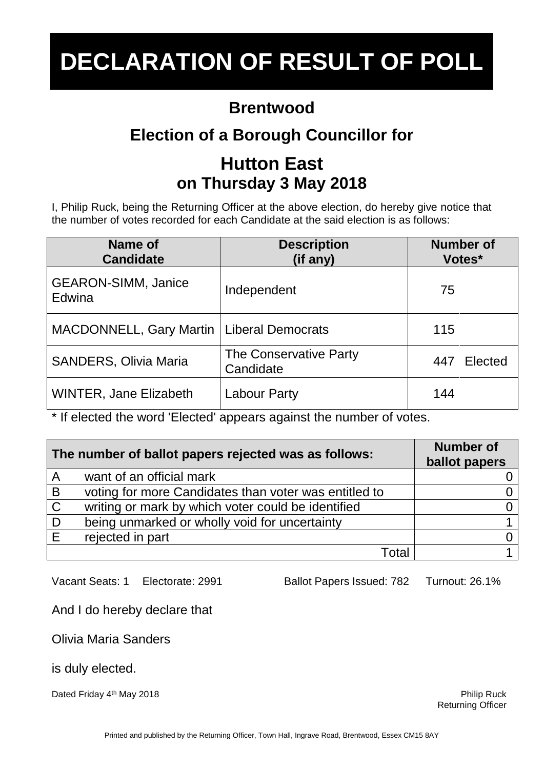### **Brentwood**

## **Election of a Borough Councillor for**

## **Hutton East on Thursday 3 May 2018**

I, Philip Ruck, being the Returning Officer at the above election, do hereby give notice that the number of votes recorded for each Candidate at the said election is as follows:

| Name of<br><b>Candidate</b>          | <b>Description</b><br>(if any)      | <b>Number of</b><br>Votes* |
|--------------------------------------|-------------------------------------|----------------------------|
| <b>GEARON-SIMM, Janice</b><br>Edwina | Independent                         | 75                         |
| <b>MACDONNELL, Gary Martin</b>       | <b>Liberal Democrats</b>            | 115                        |
| <b>SANDERS, Olivia Maria</b>         | The Conservative Party<br>Candidate | Elected<br>447             |
| <b>WINTER, Jane Elizabeth</b>        | <b>Labour Party</b>                 | 144                        |

\* If elected the word 'Elected' appears against the number of votes.

| The number of ballot papers rejected was as follows: |                                                       | <b>Number of</b><br>ballot papers |
|------------------------------------------------------|-------------------------------------------------------|-----------------------------------|
| A                                                    | want of an official mark                              |                                   |
| B                                                    | voting for more Candidates than voter was entitled to |                                   |
| $\mathsf C$                                          | writing or mark by which voter could be identified    |                                   |
| D                                                    | being unmarked or wholly void for uncertainty         |                                   |
| F                                                    | rejected in part                                      |                                   |
|                                                      | Total                                                 |                                   |

Vacant Seats: 1 Electorate: 2991 Ballot Papers Issued: 782 Turnout: 26.1%

And I do hereby declare that

Olivia Maria Sanders

is duly elected.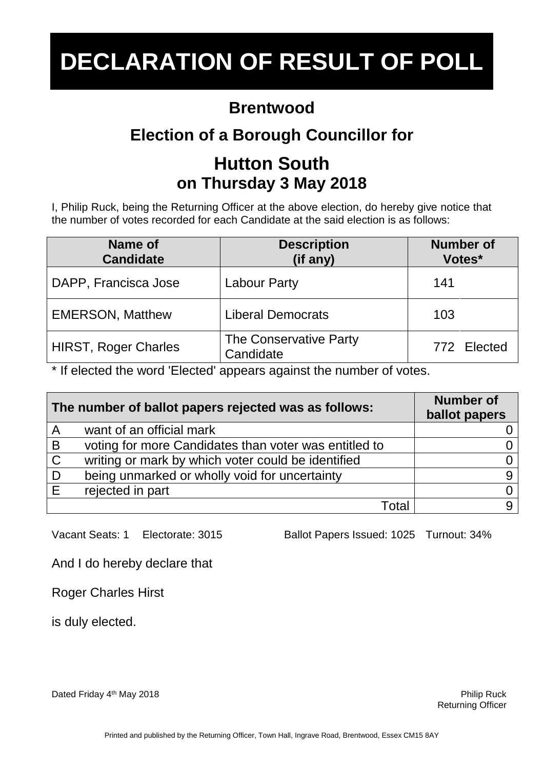#### **Brentwood**

## **Election of a Borough Councillor for**

## **Hutton South on Thursday 3 May 2018**

I, Philip Ruck, being the Returning Officer at the above election, do hereby give notice that the number of votes recorded for each Candidate at the said election is as follows:

| Name of<br><b>Candidate</b> | <b>Description</b><br>(if any)      | <b>Number of</b><br>Votes* |
|-----------------------------|-------------------------------------|----------------------------|
| DAPP, Francisca Jose        | <b>Labour Party</b>                 | 141                        |
| <b>EMERSON, Matthew</b>     | <b>Liberal Democrats</b>            | 103                        |
| <b>HIRST, Roger Charles</b> | The Conservative Party<br>Candidate | 772 Elected                |

\* If elected the word 'Elected' appears against the number of votes.

| The number of ballot papers rejected was as follows: |                                                       | <b>Number of</b><br>ballot papers |
|------------------------------------------------------|-------------------------------------------------------|-----------------------------------|
| $\overline{A}$                                       | want of an official mark                              |                                   |
| B                                                    | voting for more Candidates than voter was entitled to |                                   |
| $\mathbf C$                                          | writing or mark by which voter could be identified    |                                   |
| D                                                    | being unmarked or wholly void for uncertainty         |                                   |
| E                                                    | rejected in part                                      |                                   |
|                                                      | Total                                                 |                                   |

Vacant Seats: 1 Electorate: 3015 Ballot Papers Issued: 1025 Turnout: 34%

And I do hereby declare that

Roger Charles Hirst

is duly elected.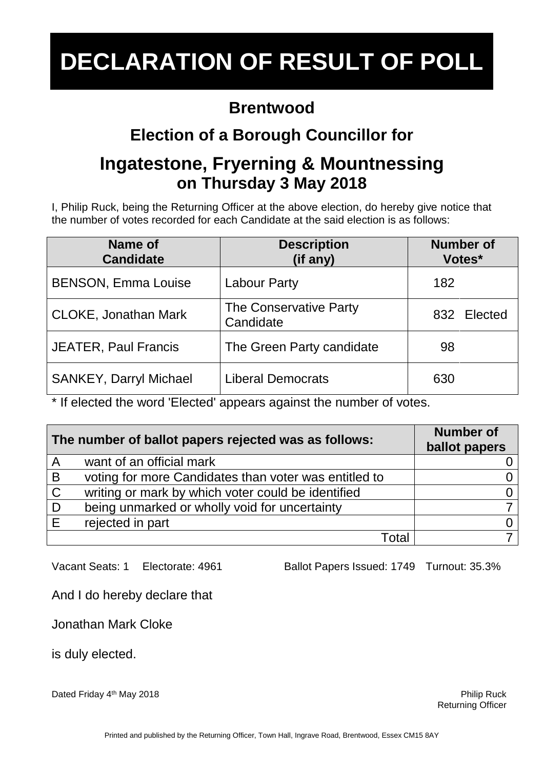### **Brentwood**

## **Election of a Borough Councillor for**

### **Ingatestone, Fryerning & Mountnessing on Thursday 3 May 2018**

I, Philip Ruck, being the Returning Officer at the above election, do hereby give notice that the number of votes recorded for each Candidate at the said election is as follows:

| Name of<br><b>Candidate</b>   | <b>Description</b><br>(if any)      | <b>Number of</b><br>Votes* |
|-------------------------------|-------------------------------------|----------------------------|
| <b>BENSON, Emma Louise</b>    | <b>Labour Party</b>                 | 182                        |
| <b>CLOKE, Jonathan Mark</b>   | The Conservative Party<br>Candidate | 832 Elected                |
| <b>JEATER, Paul Francis</b>   | The Green Party candidate           | 98                         |
| <b>SANKEY, Darryl Michael</b> | <b>Liberal Democrats</b>            | 630                        |

\* If elected the word 'Elected' appears against the number of votes.

| The number of ballot papers rejected was as follows: |                                                       | <b>Number of</b><br>ballot papers |
|------------------------------------------------------|-------------------------------------------------------|-----------------------------------|
| $\overline{A}$                                       | want of an official mark                              |                                   |
| B                                                    | voting for more Candidates than voter was entitled to |                                   |
| $\mathsf{C}$                                         | writing or mark by which voter could be identified    |                                   |
| D                                                    | being unmarked or wholly void for uncertainty         |                                   |
| E                                                    | rejected in part                                      |                                   |
|                                                      | Total                                                 |                                   |

Vacant Seats: 1 Electorate: 4961 Ballot Papers Issued: 1749 Turnout: 35.3%

And I do hereby declare that

Jonathan Mark Cloke

is duly elected.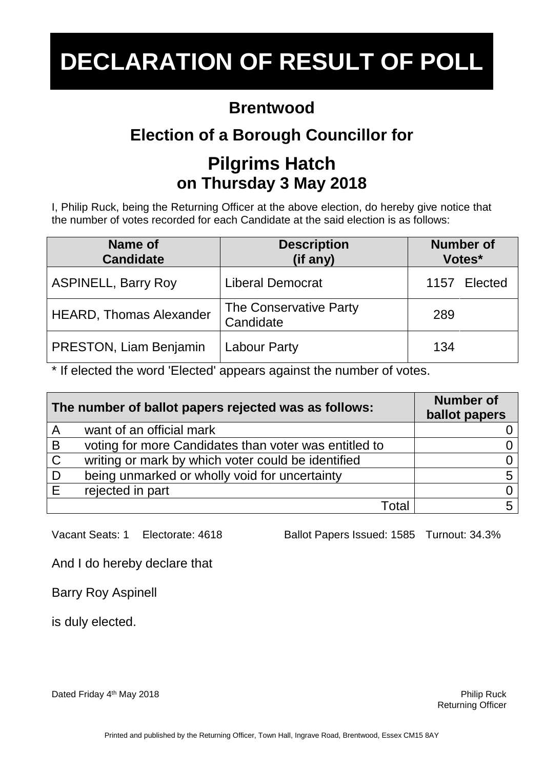#### **Brentwood**

## **Election of a Borough Councillor for**

## **Pilgrims Hatch on Thursday 3 May 2018**

I, Philip Ruck, being the Returning Officer at the above election, do hereby give notice that the number of votes recorded for each Candidate at the said election is as follows:

| Name of<br><b>Candidate</b>    | <b>Description</b><br>(if any)      | <b>Number of</b><br>Votes* |
|--------------------------------|-------------------------------------|----------------------------|
| <b>ASPINELL, Barry Roy</b>     | <b>Liberal Democrat</b>             | Elected<br>1157            |
| <b>HEARD, Thomas Alexander</b> | The Conservative Party<br>Candidate | 289                        |
| PRESTON, Liam Benjamin         | <b>Labour Party</b>                 | 134                        |

\* If elected the word 'Elected' appears against the number of votes.

| The number of ballot papers rejected was as follows: |                                                       | <b>Number of</b><br>ballot papers |
|------------------------------------------------------|-------------------------------------------------------|-----------------------------------|
| $\overline{A}$                                       | want of an official mark                              |                                   |
| B                                                    | voting for more Candidates than voter was entitled to |                                   |
| $\mathsf{C}$                                         | writing or mark by which voter could be identified    |                                   |
| D                                                    | being unmarked or wholly void for uncertainty         |                                   |
| E                                                    | rejected in part                                      |                                   |
|                                                      | ั∩ta                                                  |                                   |

Vacant Seats: 1 Electorate: 4618 Ballot Papers Issued: 1585 Turnout: 34.3%

And I do hereby declare that

Barry Roy Aspinell

is duly elected.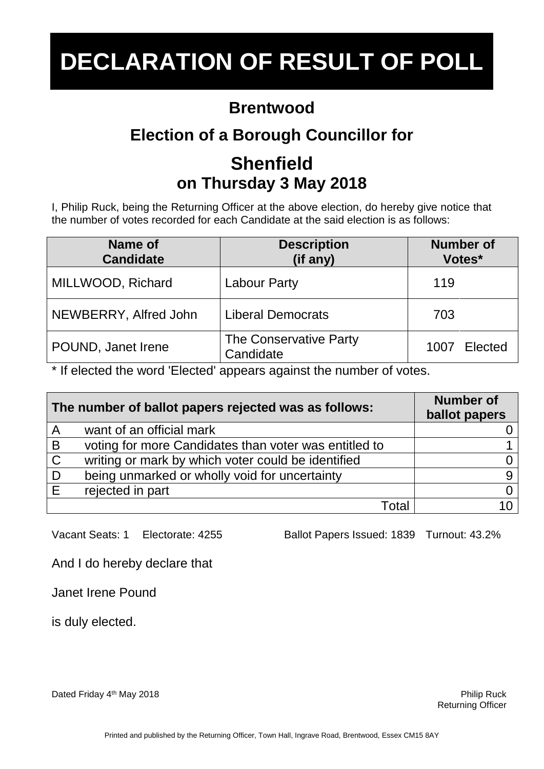### **Brentwood**

## **Election of a Borough Councillor for**

## **Shenfield on Thursday 3 May 2018**

I, Philip Ruck, being the Returning Officer at the above election, do hereby give notice that the number of votes recorded for each Candidate at the said election is as follows:

| Name of<br><b>Candidate</b> | <b>Description</b><br>(if any)      | <b>Number of</b><br>Votes* |
|-----------------------------|-------------------------------------|----------------------------|
| MILLWOOD, Richard           | <b>Labour Party</b>                 | 119                        |
| NEWBERRY, Alfred John       | <b>Liberal Democrats</b>            | 703                        |
| POUND, Janet Irene          | The Conservative Party<br>Candidate | Elected<br>1007            |

\* If elected the word 'Elected' appears against the number of votes.

| The number of ballot papers rejected was as follows: |                                                       | <b>Number of</b><br>ballot papers |
|------------------------------------------------------|-------------------------------------------------------|-----------------------------------|
| $\overline{A}$                                       | want of an official mark                              |                                   |
| B                                                    | voting for more Candidates than voter was entitled to |                                   |
| $\mathsf{C}$                                         | writing or mark by which voter could be identified    |                                   |
| D                                                    | being unmarked or wholly void for uncertainty         |                                   |
| E                                                    | rejected in part                                      |                                   |
|                                                      | ั∩†ล                                                  |                                   |

Vacant Seats: 1 Electorate: 4255 Ballot Papers Issued: 1839 Turnout: 43.2%

And I do hereby declare that

Janet Irene Pound

is duly elected.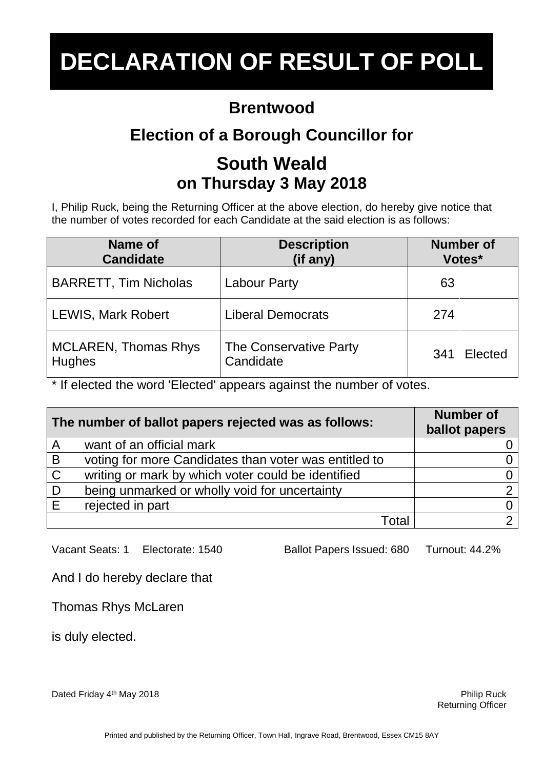### **Brentwood**

## **Election of a Borough Councillor for**

## **South Weald on Thursday 3 May 2018**

I, Philip Ruck, being the Returning Officer at the above election, do hereby give notice that the number of votes recorded for each Candidate at the said election is as follows:

| Name of                      | <b>Description</b>       | <b>Number of</b> |
|------------------------------|--------------------------|------------------|
| <b>Candidate</b>             | (if any)                 | Votes*           |
| <b>BARRETT, Tim Nicholas</b> | <b>Labour Party</b>      | 63               |
| <b>LEWIS, Mark Robert</b>    | <b>Liberal Democrats</b> | 274              |
| <b>MCLAREN, Thomas Rhys</b>  | The Conservative Party   | Elected          |
| <b>Hughes</b>                | Candidate                | 341              |

\* If elected the word 'Elected' appears against the number of votes.

| The number of ballot papers rejected was as follows: |                                                       | <b>Number of</b><br>ballot papers |
|------------------------------------------------------|-------------------------------------------------------|-----------------------------------|
| $\overline{A}$                                       | want of an official mark                              |                                   |
| B                                                    | voting for more Candidates than voter was entitled to |                                   |
| $\mathsf C$                                          | writing or mark by which voter could be identified    |                                   |
| . D                                                  | being unmarked or wholly void for uncertainty         |                                   |
| E                                                    | rejected in part                                      |                                   |
|                                                      | ั∩ta                                                  |                                   |

Vacant Seats: 1 Electorate: 1540 Ballot Papers Issued: 680 Turnout: 44.2%

And I do hereby declare that

Thomas Rhys McLaren

is duly elected.